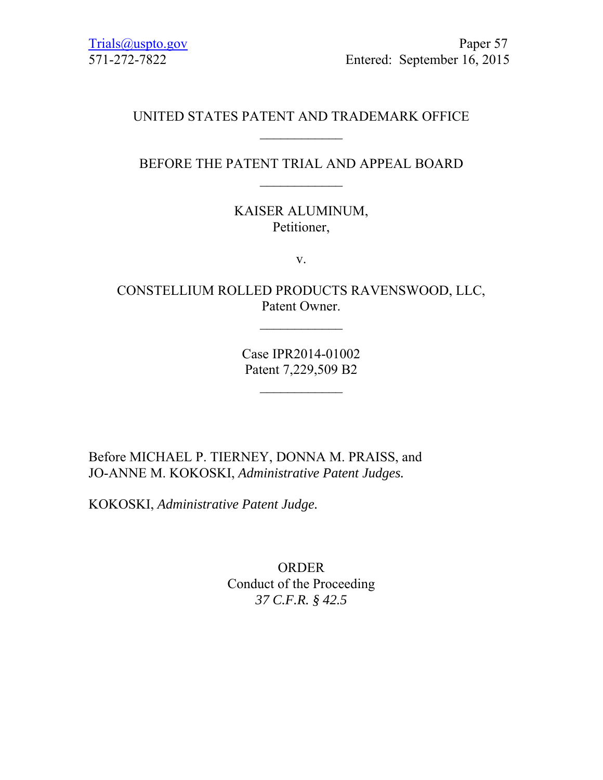# UNITED STATES PATENT AND TRADEMARK OFFICE

## BEFORE THE PATENT TRIAL AND APPEAL BOARD  $\frac{1}{2}$

KAISER ALUMINUM, Petitioner,

v.

CONSTELLIUM ROLLED PRODUCTS RAVENSWOOD, LLC, Patent Owner.

 $\frac{1}{2}$ 

Case IPR2014-01002 Patent 7,229,509 B2

 $\frac{1}{2}$ 

Before MICHAEL P. TIERNEY, DONNA M. PRAISS, and JO-ANNE M. KOKOSKI, *Administrative Patent Judges.* 

KOKOSKI, *Administrative Patent Judge.* 

ORDER Conduct of the Proceeding *37 C.F.R. § 42.5*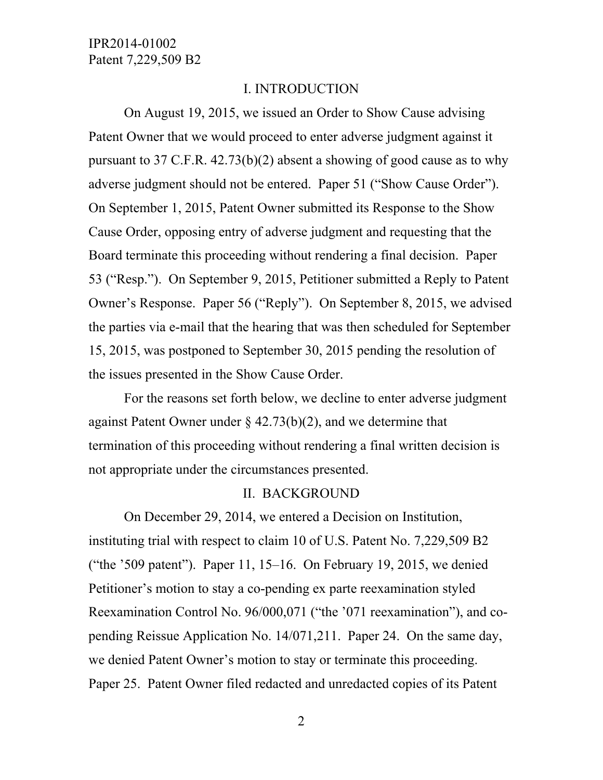#### I. INTRODUCTION

On August 19, 2015, we issued an Order to Show Cause advising Patent Owner that we would proceed to enter adverse judgment against it pursuant to 37 C.F.R. 42.73(b)(2) absent a showing of good cause as to why adverse judgment should not be entered. Paper 51 ("Show Cause Order"). On September 1, 2015, Patent Owner submitted its Response to the Show Cause Order, opposing entry of adverse judgment and requesting that the Board terminate this proceeding without rendering a final decision. Paper 53 ("Resp."). On September 9, 2015, Petitioner submitted a Reply to Patent Owner's Response. Paper 56 ("Reply"). On September 8, 2015, we advised the parties via e-mail that the hearing that was then scheduled for September 15, 2015, was postponed to September 30, 2015 pending the resolution of the issues presented in the Show Cause Order.

For the reasons set forth below, we decline to enter adverse judgment against Patent Owner under  $\S$  42.73(b)(2), and we determine that termination of this proceeding without rendering a final written decision is not appropriate under the circumstances presented.

#### II. BACKGROUND

On December 29, 2014, we entered a Decision on Institution, instituting trial with respect to claim 10 of U.S. Patent No. 7,229,509 B2 ("the  $\degree$ 509 patent"). Paper 11, 15–16. On February 19, 2015, we denied Petitioner's motion to stay a co-pending ex parte reexamination styled Reexamination Control No. 96/000,071 ("the '071 reexamination"), and copending Reissue Application No. 14/071,211. Paper 24. On the same day, we denied Patent Owner's motion to stay or terminate this proceeding. Paper 25. Patent Owner filed redacted and unredacted copies of its Patent

2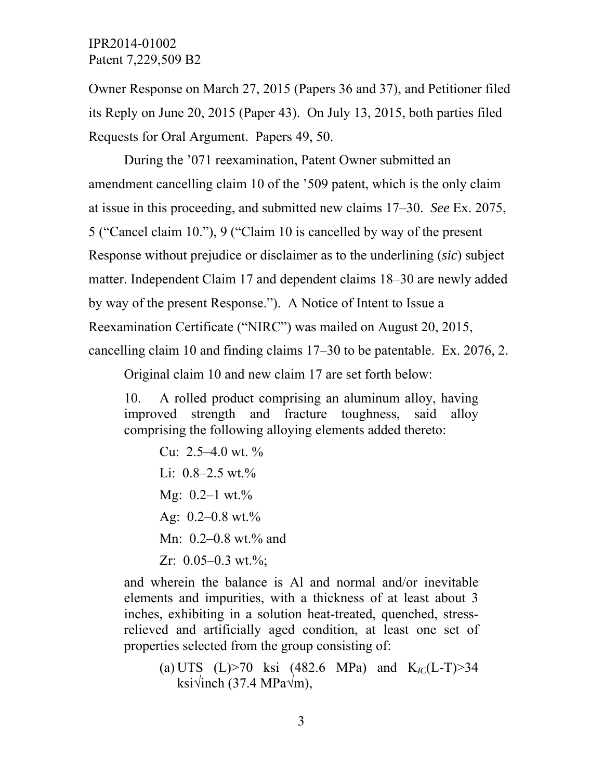Owner Response on March 27, 2015 (Papers 36 and 37), and Petitioner filed its Reply on June 20, 2015 (Paper 43). On July 13, 2015, both parties filed Requests for Oral Argument. Papers 49, 50.

During the '071 reexamination, Patent Owner submitted an amendment cancelling claim 10 of the '509 patent, which is the only claim at issue in this proceeding, and submitted new claims 17–30. *See* Ex. 2075, 5 ("Cancel claim 10."), 9 ("Claim 10 is cancelled by way of the present Response without prejudice or disclaimer as to the underlining (*sic*) subject matter. Independent Claim 17 and dependent claims 18–30 are newly added by way of the present Response."). A Notice of Intent to Issue a Reexamination Certificate ("NIRC") was mailed on August 20, 2015, cancelling claim 10 and finding claims 17–30 to be patentable. Ex. 2076, 2.

Original claim 10 and new claim 17 are set forth below:

10. A rolled product comprising an aluminum alloy, having improved strength and fracture toughness, said alloy comprising the following alloying elements added thereto:

Cu:  $2.5-4.0$  wt.  $\%$ Li:  $0.8-2.5$  wt.% Mg:  $0.2-1$  wt. $\%$ Ag:  $0.2 - 0.8$  wt. $\%$ Mn: 0.2–0.8 wt.% and Zr:  $0.05-0.3$  wt.%;

and wherein the balance is Al and normal and/or inevitable elements and impurities, with a thickness of at least about 3 inches, exhibiting in a solution heat-treated, quenched, stressrelieved and artificially aged condition, at least one set of properties selected from the group consisting of:

(a) UTS (L)>70 ksi (482.6 MPa) and K*IC*(L-T)>34 ksi√inch (37.4 MPa√m),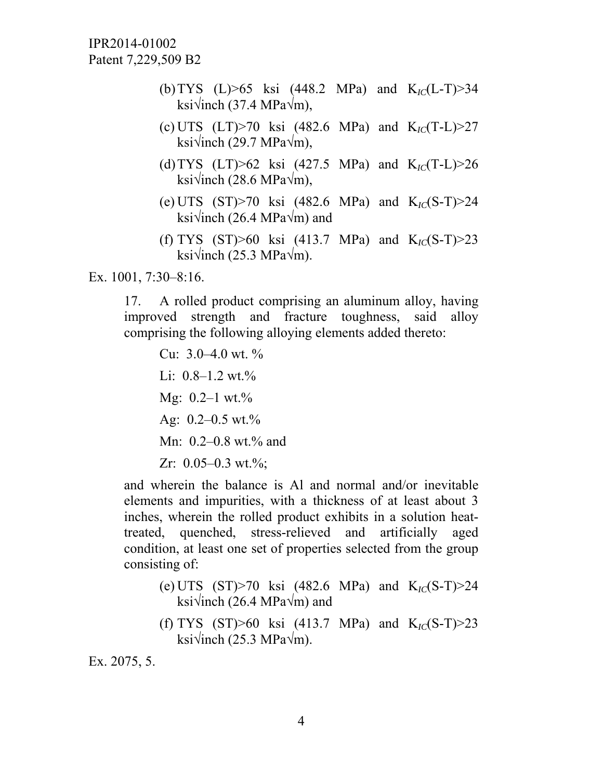IPR2014-01002 Patent 7,229,509 B2

- (b)TYS (L)>65 ksi (448.2 MPa) and K*IC*(L-T)>34 ksi√inch (37.4 MPa√m),
- (c) UTS (LT)>70 ksi (482.6 MPa) and K*IC*(T-L)>27 ksi√inch (29.7 MPa $\sqrt{m}$ ),
- (d)TYS (LT)>62 ksi (427.5 MPa) and K*IC*(T-L)>26 ksi√inch (28.6 MPa√m),
- (e) UTS (ST)>70 ksi (482.6 MPa) and K*IC*(S-T)>24 ksi√inch (26.4 MPa $\sqrt{m}$ ) and
- (f) TYS  $(ST) > 60$  ksi  $(413.7 \text{ MPa})$  and  $K_{1C}(S-T) > 23$ ksi√inch (25.3 MPa√m).

Ex. 1001, 7:30–8:16.

17. A rolled product comprising an aluminum alloy, having improved strength and fracture toughness, said alloy comprising the following alloying elements added thereto:

Cu:  $3.0-4.0$  wt. % Li:  $0.8-1.2$  wt.% Mg:  $0.2-1$  wt. $\%$ Ag:  $0.2 - 0.5$  wt.% Mn: 0.2–0.8 wt.% and Zr:  $0.05-0.3$  wt.%;

and wherein the balance is Al and normal and/or inevitable elements and impurities, with a thickness of at least about 3 inches, wherein the rolled product exhibits in a solution heattreated, quenched, stress-relieved and artificially aged condition, at least one set of properties selected from the group consisting of:

- (e) UTS (ST)>70 ksi (482.6 MPa) and K*IC*(S-T)>24 ksi√inch (26.4 MPa√m) and
- (f) TYS (ST)>60 ksi (413.7 MPa) and K*IC*(S-T)>23 ksi√inch (25.3 MPa√m).

Ex. 2075, 5.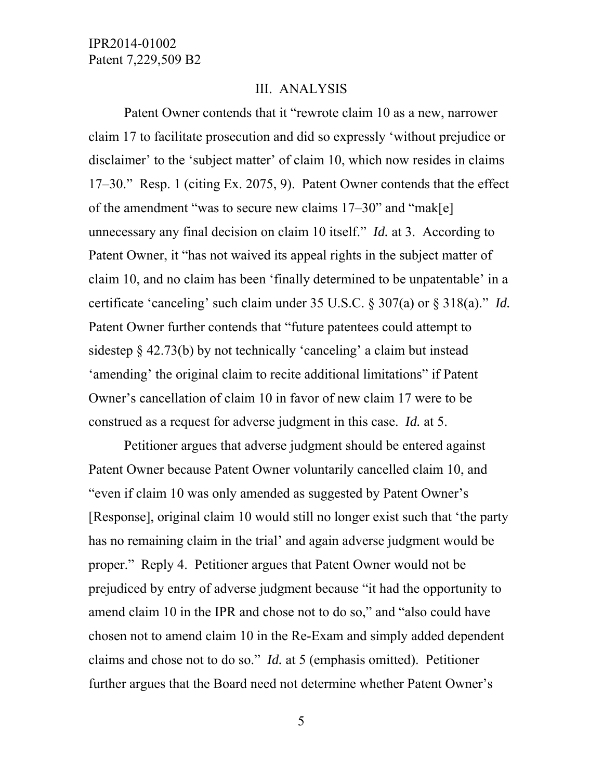### III. ANALYSIS

Patent Owner contends that it "rewrote claim 10 as a new, narrower claim 17 to facilitate prosecution and did so expressly 'without prejudice or disclaimer' to the 'subject matter' of claim 10, which now resides in claims 17–30." Resp. 1 (citing Ex. 2075, 9). Patent Owner contends that the effect of the amendment "was to secure new claims 17–30" and "mak[e] unnecessary any final decision on claim 10 itself." *Id.* at 3. According to Patent Owner, it "has not waived its appeal rights in the subject matter of claim 10, and no claim has been 'finally determined to be unpatentable' in a certificate 'canceling' such claim under 35 U.S.C. § 307(a) or § 318(a)." *Id.* Patent Owner further contends that "future patentees could attempt to sidestep § 42.73(b) by not technically 'canceling' a claim but instead 'amending' the original claim to recite additional limitations" if Patent Owner's cancellation of claim 10 in favor of new claim 17 were to be construed as a request for adverse judgment in this case. *Id.* at 5.

Petitioner argues that adverse judgment should be entered against Patent Owner because Patent Owner voluntarily cancelled claim 10, and "even if claim 10 was only amended as suggested by Patent Owner's [Response], original claim 10 would still no longer exist such that 'the party has no remaining claim in the trial' and again adverse judgment would be proper." Reply 4. Petitioner argues that Patent Owner would not be prejudiced by entry of adverse judgment because "it had the opportunity to amend claim 10 in the IPR and chose not to do so," and "also could have chosen not to amend claim 10 in the Re-Exam and simply added dependent claims and chose not to do so." *Id.* at 5 (emphasis omitted). Petitioner further argues that the Board need not determine whether Patent Owner's

5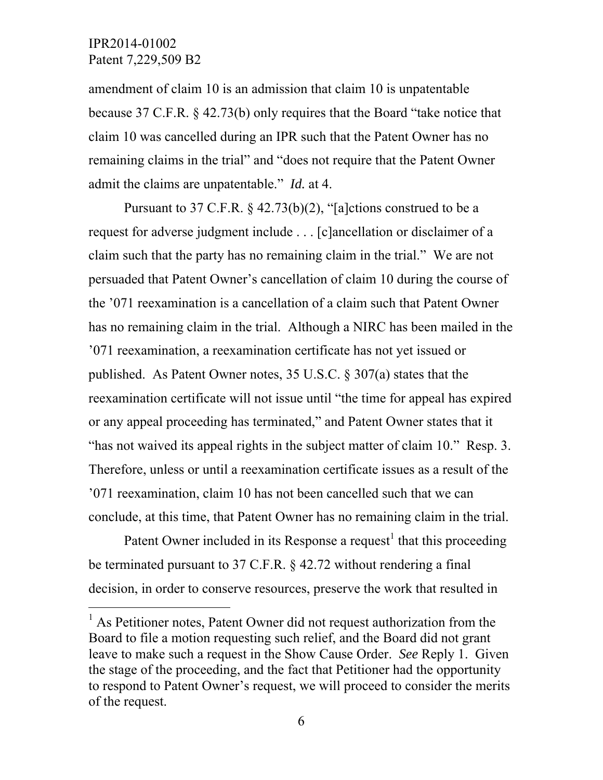### IPR2014-01002 Patent 7,229,509 B2

 $\overline{a}$ 

amendment of claim 10 is an admission that claim 10 is unpatentable because 37 C.F.R. § 42.73(b) only requires that the Board "take notice that claim 10 was cancelled during an IPR such that the Patent Owner has no remaining claims in the trial" and "does not require that the Patent Owner admit the claims are unpatentable." *Id.* at 4.

Pursuant to 37 C.F.R. § 42.73(b)(2), "[a]ctions construed to be a request for adverse judgment include . . . [c]ancellation or disclaimer of a claim such that the party has no remaining claim in the trial." We are not persuaded that Patent Owner's cancellation of claim 10 during the course of the '071 reexamination is a cancellation of a claim such that Patent Owner has no remaining claim in the trial. Although a NIRC has been mailed in the '071 reexamination, a reexamination certificate has not yet issued or published. As Patent Owner notes, 35 U.S.C. § 307(a) states that the reexamination certificate will not issue until "the time for appeal has expired or any appeal proceeding has terminated," and Patent Owner states that it "has not waived its appeal rights in the subject matter of claim 10." Resp. 3. Therefore, unless or until a reexamination certificate issues as a result of the '071 reexamination, claim 10 has not been cancelled such that we can conclude, at this time, that Patent Owner has no remaining claim in the trial.

Patent Owner included in its Response a request<sup>1</sup> that this proceeding be terminated pursuant to 37 C.F.R. § 42.72 without rendering a final decision, in order to conserve resources, preserve the work that resulted in

<sup>&</sup>lt;sup>1</sup> As Petitioner notes, Patent Owner did not request authorization from the Board to file a motion requesting such relief, and the Board did not grant leave to make such a request in the Show Cause Order. *See* Reply 1. Given the stage of the proceeding, and the fact that Petitioner had the opportunity to respond to Patent Owner's request, we will proceed to consider the merits of the request.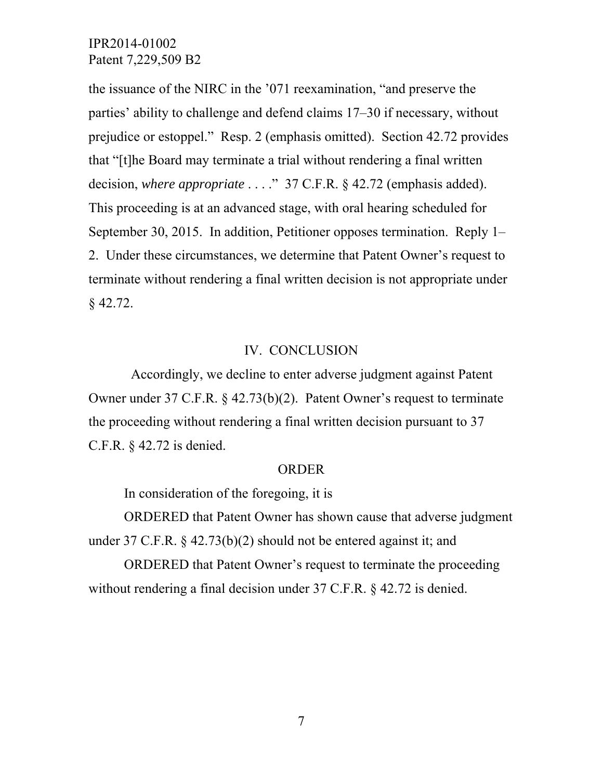the issuance of the NIRC in the '071 reexamination, "and preserve the parties' ability to challenge and defend claims 17–30 if necessary, without prejudice or estoppel." Resp. 2 (emphasis omitted). Section 42.72 provides that "[t]he Board may terminate a trial without rendering a final written decision, *where appropriate* . . . ." 37 C.F.R. § 42.72 (emphasis added). This proceeding is at an advanced stage, with oral hearing scheduled for September 30, 2015. In addition, Petitioner opposes termination. Reply 1– 2. Under these circumstances, we determine that Patent Owner's request to terminate without rendering a final written decision is not appropriate under § 42.72.

### IV. CONCLUSION

 Accordingly, we decline to enter adverse judgment against Patent Owner under 37 C.F.R. § 42.73(b)(2). Patent Owner's request to terminate the proceeding without rendering a final written decision pursuant to 37 C.F.R. § 42.72 is denied.

#### ORDER

In consideration of the foregoing, it is

 ORDERED that Patent Owner has shown cause that adverse judgment under 37 C.F.R. § 42.73(b)(2) should not be entered against it; and

 ORDERED that Patent Owner's request to terminate the proceeding without rendering a final decision under 37 C.F.R. § 42.72 is denied.

7